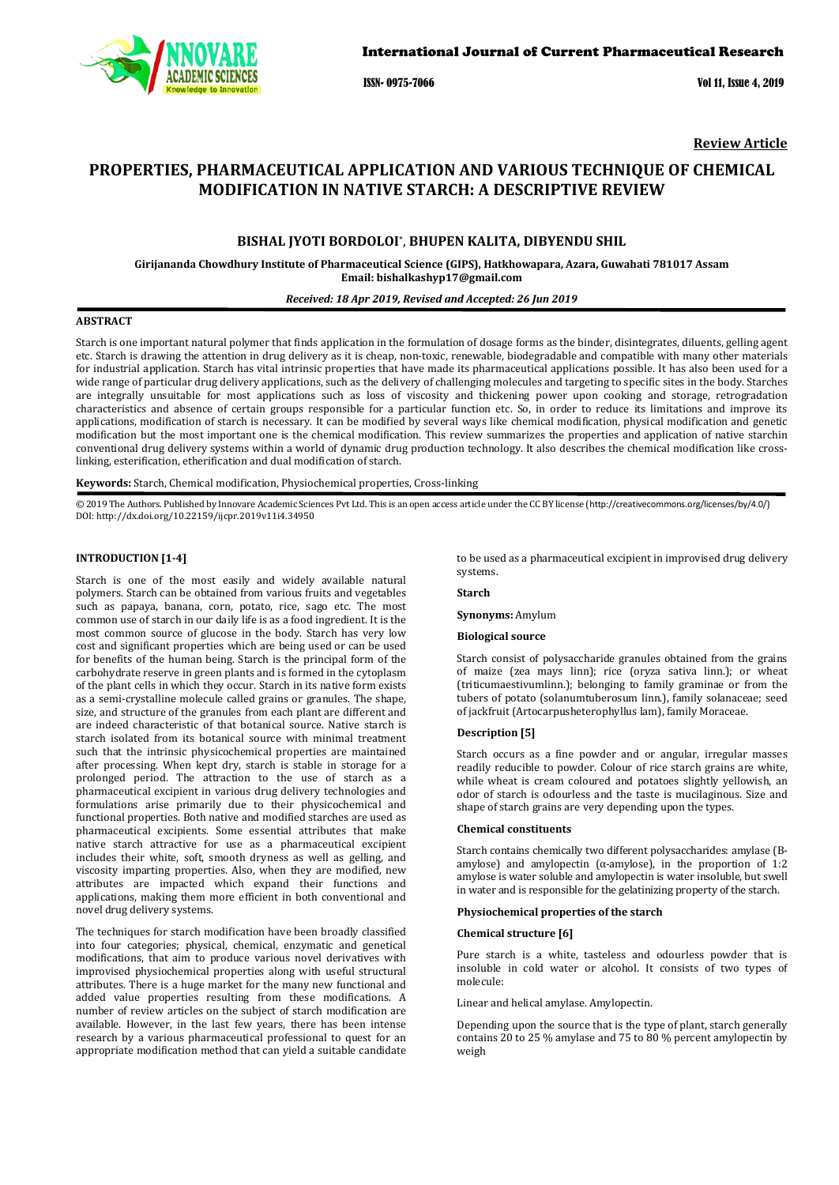

ISSN- 0975-7066 Vol 11, Issue 4, 2019

**Review Article**

# **PROPERTIES, PHARMACEUTICAL APPLICATION AND VARIOUS TECHNIQUE OF CHEMICAL MODIFICATION IN NATIVE STARCH: A DESCRIPTIVE REVIEW**

# **BISHAL JYOTI BORDOLOI**\* , **BHUPEN KALITA, DIBYENDU SHIL**

**Girijananda Chowdhury Institute of Pharmaceutical Science (GIPS), Hatkhowapara, Azara, Guwahati 781017 Assam Email: bishalkashyp17@gmail.com**

## *Received: 18 Apr 2019, Revised and Accepted: 26 Jun 2019*

## **ABSTRACT**

Starch is one important natural polymer that finds application in the formulation of dosage forms as the binder, disintegrates, diluents, gelling agent etc. Starch is drawing the attention in drug delivery as it is cheap, non-toxic, renewable, biodegradable and compatible with many other materials for industrial application. Starch has vital intrinsic properties that have made its pharmaceutical applications possible. It has also been used for a wide range of particular drug delivery applications, such as the delivery of challenging molecules and targeting to specific sites in the body. Starches are integrally unsuitable for most applications such as loss of viscosity and thickening power upon cooking and storage, retrogradation characteristics and absence of certain groups responsible for a particular function etc. So, in order to reduce its limitations and improve its applications, modification of starch is necessary. It can be modified by several ways like chemical modification, physical modification and genetic modification but the most important one is the chemical modification. This review summarizes the properties and application of native starchin conventional drug delivery systems within a world of dynamic drug production technology. It also describes the chemical modification like crosslinking, esterification, etherification and dual modification of starch.

**Keywords:** Starch, Chemical modification, Physiochemical properties, Cross-linking

© 2019 The Authors. Published by Innovare Academic Sciences Pvt Ltd. This is an open access article under the CC BY license (<http://creativecommons.org/licenses/by/4.0/>) DOI: http://dx.doi.org/10.22159/ijcpr.2019v11i4.34950

# **INTRODUCTION [1-4]**

Starch is one of the most easily and widely available natural polymers. Starch can be obtained from various fruits and vegetables such as papaya, banana, corn, potato, rice, sago etc. The most common use of starch in our daily life is as a food ingredient. It is the most common source of glucose in the body. Starch has very low cost and significant properties which are being used or can be used for benefits of the human being. Starch is the principal form of the carbohydrate reserve in green plants and is formed in the cytoplasm of the plant cells in which they occur. Starch in its native form exists as a semi-crystalline molecule called grains or granules. The shape, size, and structure of the granules from each plant are different and are indeed characteristic of that botanical source. Native starch is starch isolated from its botanical source with minimal treatment such that the intrinsic physicochemical properties are maintained after processing. When kept dry, starch is stable in storage for a prolonged period. The attraction to the use of starch as a pharmaceutical excipient in various drug delivery technologies and formulations arise primarily due to their physicochemical and functional properties. Both native and modified starches are used as pharmaceutical excipients. Some essential attributes that make native starch attractive for use as a pharmaceutical excipient includes their white, soft, smooth dryness as well as gelling, and viscosity imparting properties. Also, when they are modified, new attributes are impacted which expand their functions and applications, making them more efficient in both conventional and novel drug delivery systems.

The techniques for starch modification have been broadly classified into four categories; physical, chemical, enzymatic and genetical modifications, that aim to produce various novel derivatives with improvised physiochemical properties along with useful structural attributes. There is a huge market for the many new functional and added value properties resulting from these modifications. A number of review articles on the subject of starch modification are available. However, in the last few years, there has been intense research by a various pharmaceutical professional to quest for an appropriate modification method that can yield a suitable candidate

to be used as a pharmaceutical excipient in improvised drug delivery systems.

## **Starch**

**Synonyms:** Amylum

### **Biological source**

Starch consist of polysaccharide granules obtained from the grains of maize (zea mays linn); rice (oryza sativa linn.); or wheat (triticumaestivumlinn.); belonging to family graminae or from the tubers of potato (solanumtuberosum linn.), family solanaceae; seed of jackfruit (Artocarpusheterophyllus lam), family Moraceae.

### **Description [5]**

Starch occurs as a fine powder and or angular, irregular masses readily reducible to powder. Colour of rice starch grains are white, while wheat is cream coloured and potatoes slightly yellowish, an odor of starch is odourless and the taste is mucilaginous. Size and shape of starch grains are very depending upon the types.

### **Chemical constituents**

Starch contains chemically two different polysaccharides: amylase (Bamylose) and amylopectin ( $\alpha$ -amylose), in the proportion of 1:2 amylose is water soluble and amylopectin is water insoluble, but swell in water and is responsible for the gelatinizing property of the starch.

## **Physiochemical properties of the starch**

## **Chemical structure [6]**

Pure starch is a white, tasteless and odourless powder that is insoluble in cold water or alcohol. It consists of two types of molecule:

Linear and helical amylase. Amylopectin.

Depending upon the source that is the type of plant, starch generally contains 20 to 25 % amylase and 75 to 80 % percent amylopectin by weigh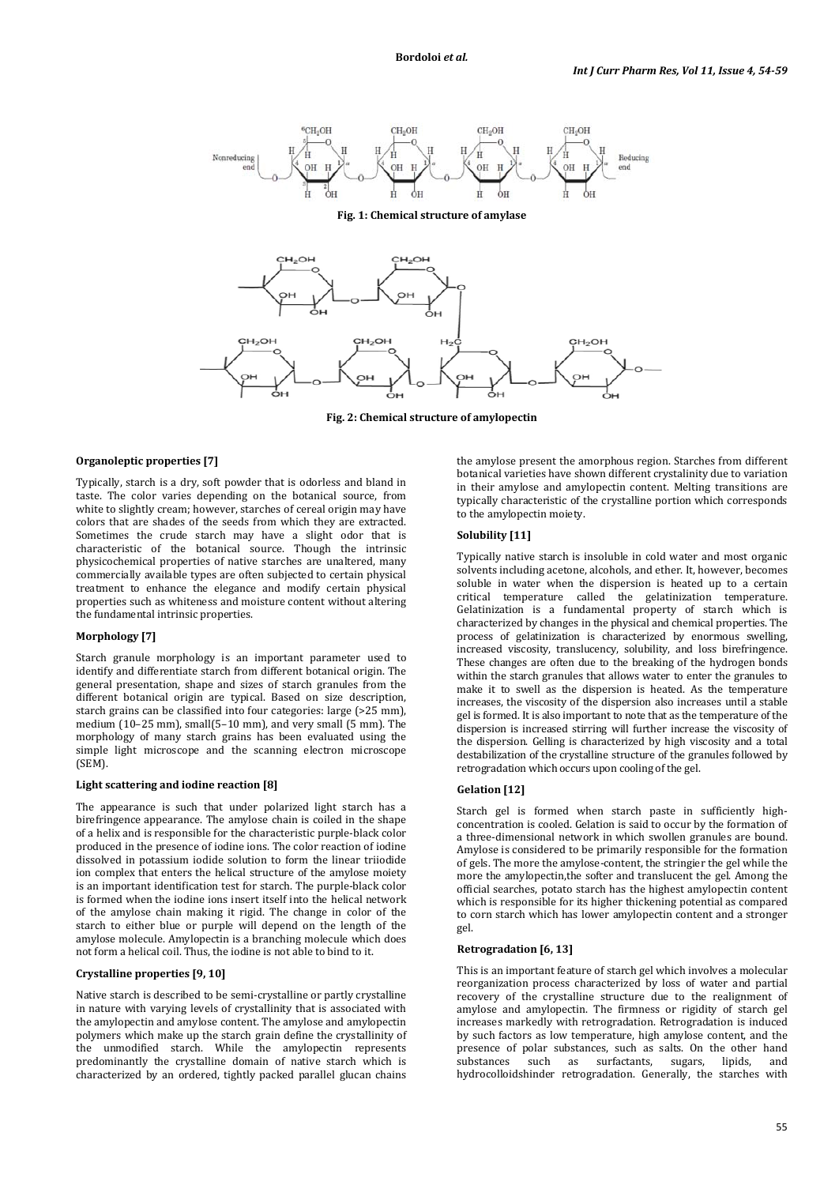



**Fig. 2: Chemical structure of amylopectin**

#### **Organoleptic properties [7]**

Typically, starch is a dry, soft powder that is odorless and bland in taste. The color varies depending on the botanical source, from white to slightly cream; however, starches of cereal origin may have colors that are shades of the seeds from which they are extracted. Sometimes the crude starch may have a slight odor that is characteristic of the botanical source. Though the intrinsic physicochemical properties of native starches are unaltered, many commercially available types are often subjected to certain physical treatment to enhance the elegance and modify certain physical properties such as whiteness and moisture content without altering the fundamental intrinsic properties.

## **Morphology [7]**

Starch granule morphology is an important parameter used to identify and differentiate starch from different botanical origin. The general presentation, shape and sizes of starch granules from the different botanical origin are typical. Based on size description, starch grains can be classified into four categories: large (>25 mm), medium (10–25 mm), small(5–10 mm), and very small (5 mm). The morphology of many starch grains has been evaluated using the simple light microscope and the scanning electron microscope (SEM).

#### **Light scattering and iodine reaction [8]**

The appearance is such that under polarized light starch has a birefringence appearance. The amylose chain is coiled in the shape of a helix and is responsible for the characteristic purple-black color produced in the presence of iodine ions. The color reaction of iodine dissolved in potassium iodide solution to form the linear triiodide ion complex that enters the helical structure of the amylose moiety is an important identification test for starch. The purple-black color is formed when the iodine ions insert itself into the helical network of the amylose chain making it rigid. The change in color of the starch to either blue or purple will depend on the length of the amylose molecule. Amylopectin is a branching molecule which does not form a helical coil. Thus, the iodine is not able to bind to it.

## **Crystalline properties [9, 10]**

Native starch is described to be semi-crystalline or partly crystalline in nature with varying levels of crystallinity that is associated with the amylopectin and amylose content. The amylose and amylopectin polymers which make up the starch grain define the crystallinity of the unmodified starch. While the amylopectin represents predominantly the crystalline domain of native starch which is characterized by an ordered, tightly packed parallel glucan chains

the amylose present the amorphous region. Starches from different botanical varieties have shown different crystalinity due to variation in their amylose and amylopectin content. Melting transitions are typically characteristic of the crystalline portion which corresponds to the amylopectin moiety.

### **Solubility [11]**

Typically native starch is insoluble in cold water and most organic solvents including acetone, alcohols, and ether. It, however, becomes soluble in water when the dispersion is heated up to a certain critical temperature called the gelatinization temperature. Gelatinization is a fundamental property of starch which is characterized by changes in the physical and chemical properties. The process of gelatinization is characterized by enormous swelling, increased viscosity, translucency, solubility, and loss birefringence. These changes are often due to the breaking of the hydrogen bonds within the starch granules that allows water to enter the granules to make it to swell as the dispersion is heated. As the temperature increases, the viscosity of the dispersion also increases until a stable gel is formed. It is also important to note that as the temperature of the dispersion is increased stirring will further increase the viscosity of the dispersion. Gelling is characterized by high viscosity and a total destabilization of the crystalline structure of the granules followed by retrogradation which occurs upon cooling of the gel.

## **Gelation [12]**

Starch gel is formed when starch paste in sufficiently highconcentration is cooled. Gelation is said to occur by the formation of a three-dimensional network in which swollen granules are bound. Amylose is considered to be primarily responsible for the formation of gels. The more the amylose-content, the stringier the gel while the more the amylopectin,the softer and translucent the gel. Among the official searches, potato starch has the highest amylopectin content which is responsible for its higher thickening potential as compared to corn starch which has lower amylopectin content and a stronger gel.

#### **Retrogradation [6, 13]**

This is an important feature of starch gel which involves a molecular reorganization process characterized by loss of water and partial recovery of the crystalline structure due to the realignment of amylose and amylopectin. The firmness or rigidity of starch gel increases markedly with retrogradation. Retrogradation is induced by such factors as low temperature, high amylose content, and the presence of polar substances, such as salts. On the other hand<br>substances such as surfactants, sugars, lipids, and such as surfactants, hydrocolloidshinder retrogradation. Generally, the starches with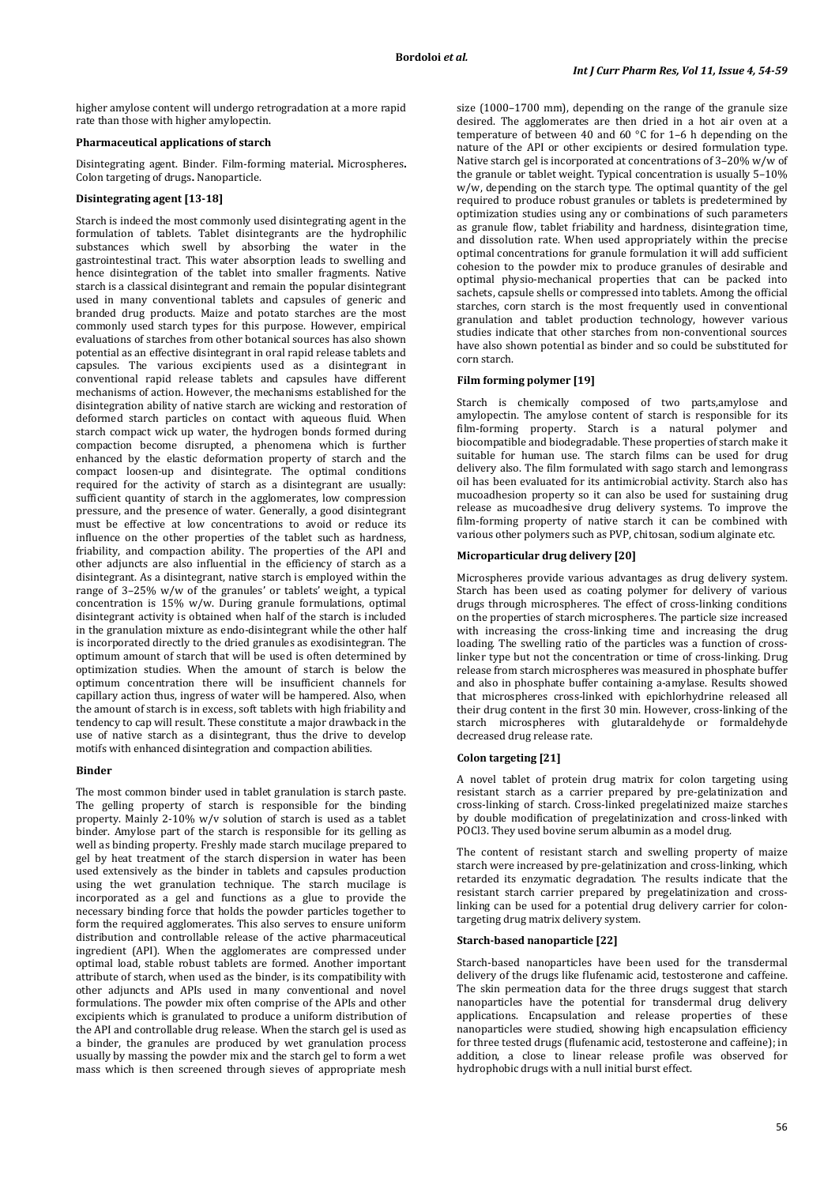higher amylose content will undergo retrogradation at a more rapid rate than those with higher amylopectin.

## **Pharmaceutical applications of starch**

Disintegrating agent. Binder. Film-forming material**.** Microspheres**.**  Colon targeting of drugs**.** Nanoparticle.

## **Disintegrating agent [13-18]**

Starch is indeed the most commonly used disintegrating agent in the formulation of tablets. Tablet disintegrants are the hydrophilic substances which swell by absorbing the water in the gastrointestinal tract. This water absorption leads to swelling and hence disintegration of the tablet into smaller fragments. Native starch is a classical disintegrant and remain the popular disintegrant used in many conventional tablets and capsules of generic and branded drug products. Maize and potato starches are the most commonly used starch types for this purpose. However, empirical evaluations of starches from other botanical sources has also shown potential as an effective disintegrant in oral rapid release tablets and capsules. The various excipients used as a disintegrant in conventional rapid release tablets and capsules have different mechanisms of action. However, the mechanisms established for the disintegration ability of native starch are wicking and restoration of deformed starch particles on contact with aqueous fluid. When starch compact wick up water, the hydrogen bonds formed during compaction become disrupted, a phenomena which is further enhanced by the elastic deformation property of starch and the compact loosen-up and disintegrate. The optimal conditions required for the activity of starch as a disintegrant are usually: sufficient quantity of starch in the agglomerates, low compression pressure, and the presence of water. Generally, a good disintegrant must be effective at low concentrations to avoid or reduce its influence on the other properties of the tablet such as hardness, friability, and compaction ability. The properties of the API and other adjuncts are also influential in the efficiency of starch as a disintegrant. As a disintegrant, native starch is employed within the range of 3–25% w/w of the granules' or tablets' weight, a typical concentration is 15% w/w. During granule formulations, optimal disintegrant activity is obtained when half of the starch is included in the granulation mixture as endo-disintegrant while the other half is incorporated directly to the dried granules as exodisintegran. The optimum amount of starch that will be used is often determined by optimization studies. When the amount of starch is below the optimum concentration there will be insufficient channels for capillary action thus, ingress of water will be hampered. Also, when the amount of starch is in excess, soft tablets with high friability and tendency to cap will result. These constitute a major drawback in the use of native starch as a disintegrant, thus the drive to develop motifs with enhanced disintegration and compaction abilities.

## **Binder**

The most common binder used in tablet granulation is starch paste. The gelling property of starch is responsible for the binding property. Mainly 2-10% w/v solution of starch is used as a tablet binder. Amylose part of the starch is responsible for its gelling as well as binding property. Freshly made starch mucilage prepared to gel by heat treatment of the starch dispersion in water has been used extensively as the binder in tablets and capsules production using the wet granulation technique. The starch mucilage is incorporated as a gel and functions as a glue to provide the necessary binding force that holds the powder particles together to form the required agglomerates. This also serves to ensure uniform distribution and controllable release of the active pharmaceutical ingredient (API). When the agglomerates are compressed under optimal load, stable robust tablets are formed. Another important attribute of starch, when used as the binder, is its compatibility with other adjuncts and APIs used in many conventional and novel formulations. The powder mix often comprise of the APIs and other excipients which is granulated to produce a uniform distribution of the API and controllable drug release. When the starch gel is used as a binder, the granules are produced by wet granulation process usually by massing the powder mix and the starch gel to form a wet mass which is then screened through sieves of appropriate mesh

size (1000–1700 mm), depending on the range of the granule size desired. The agglomerates are then dried in a hot air oven at a temperature of between 40 and 60 °C for 1–6 h depending on the nature of the API or other excipients or desired formulation type. Native starch gel is incorporated at concentrations of 3–20% w/w of the granule or tablet weight. Typical concentration is usually 5–10% w/w, depending on the starch type. The optimal quantity of the gel required to produce robust granules or tablets is predetermined by optimization studies using any or combinations of such parameters as granule flow, tablet friability and hardness, disintegration time, and dissolution rate. When used appropriately within the precise optimal concentrations for granule formulation it will add sufficient cohesion to the powder mix to produce granules of desirable and optimal physio-mechanical properties that can be packed into sachets, capsule shells or compressed into tablets. Among the official starches, corn starch is the most frequently used in conventional granulation and tablet production technology, however various studies indicate that other starches from non-conventional sources have also shown potential as binder and so could be substituted for corn starch.

#### **Film forming polymer [19]**

Starch is chemically composed of two parts,amylose and amylopectin. The amylose content of starch is responsible for its film-forming property. Starch is a natural polymer and biocompatible and biodegradable. These properties of starch make it suitable for human use. The starch films can be used for drug delivery also. The film formulated with sago starch and lemongrass oil has been evaluated for its antimicrobial activity. Starch also has mucoadhesion property so it can also be used for sustaining drug release as mucoadhesive drug delivery systems. To improve the film-forming property of native starch it can be combined with various other polymers such as PVP, chitosan, sodium alginate etc.

### **Microparticular drug delivery [20]**

Microspheres provide various advantages as drug delivery system. Starch has been used as coating polymer for delivery of various drugs through microspheres. The effect of cross-linking conditions on the properties of starch microspheres. The particle size increased with increasing the cross-linking time and increasing the drug loading. The swelling ratio of the particles was a function of crosslinker type but not the concentration or time of cross-linking. Drug release from starch microspheres was measured in phosphate buffer and also in phosphate buffer containing a-amylase. Results showed that microspheres cross-linked with epichlorhydrine released all their drug content in the first 30 min. However, cross-linking of the starch microspheres with glutaraldehyde or formaldehyde decreased drug release rate.

#### **Colon targeting [21]**

A novel tablet of protein drug matrix for colon targeting using resistant starch as a carrier prepared by pre-gelatinization and cross-linking of starch. Cross-linked pregelatinized maize starches by double modification of pregelatinization and cross-linked with POCl3. They used bovine serum albumin as a model drug.

The content of resistant starch and swelling property of maize starch were increased by pre-gelatinization and cross-linking, which retarded its enzymatic degradation. The results indicate that the resistant starch carrier prepared by pregelatinization and crosslinking can be used for a potential drug delivery carrier for colontargeting drug matrix delivery system.

## **Starch-based nanoparticle [22]**

Starch-based nanoparticles have been used for the transdermal delivery of the drugs like flufenamic acid, testosterone and caffeine. The skin permeation data for the three drugs suggest that starch nanoparticles have the potential for transdermal drug delivery applications. Encapsulation and release properties of these nanoparticles were studied, showing high encapsulation efficiency for three tested drugs (flufenamic acid, testosterone and caffeine); in addition, a close to linear release profile was observed for hydrophobic drugs with a null initial burst effect.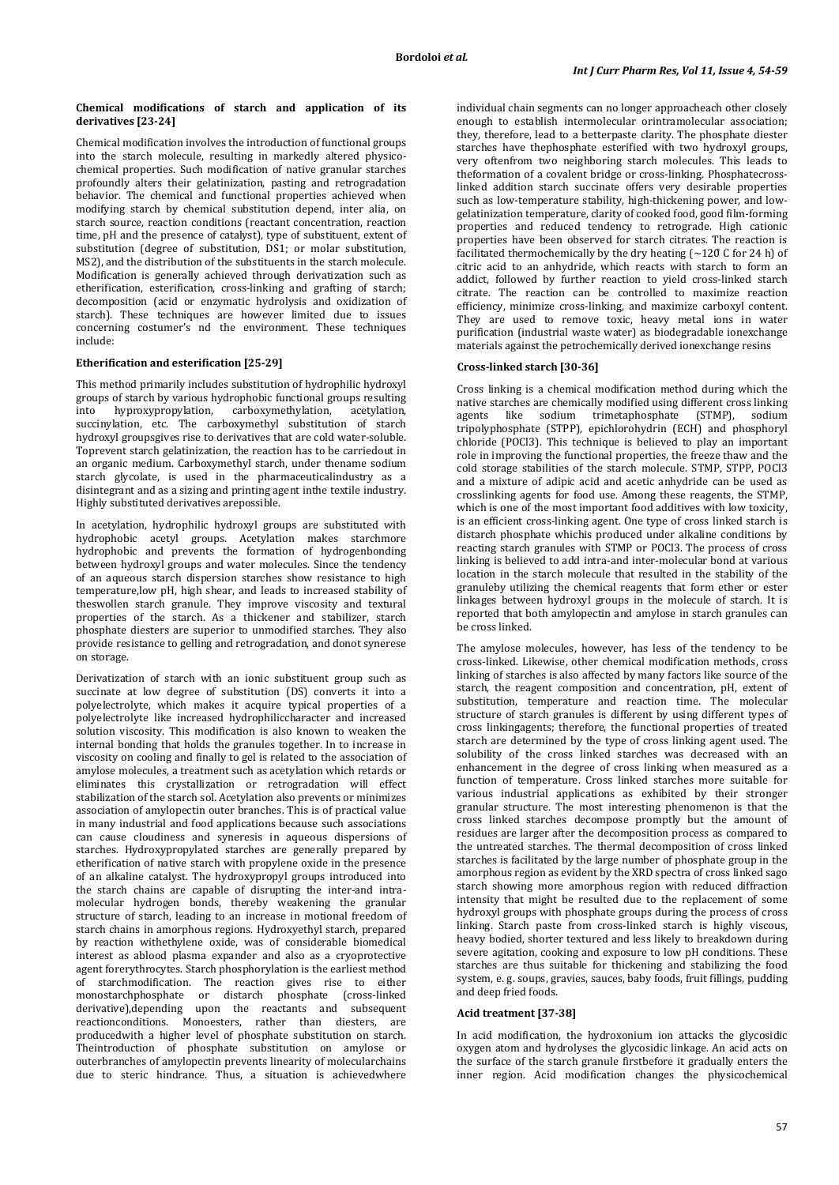## **Chemical modifications of starch and application of its derivatives [23-24]**

Chemical modification involves the introduction of functional groups into the starch molecule, resulting in markedly altered physicochemical properties. Such modification of native granular starches profoundly alters their gelatinization, pasting and retrogradation behavior. The chemical and functional properties achieved when modifying starch by chemical substitution depend, inter alia, on starch source, reaction conditions (reactant concentration, reaction time, pH and the presence of catalyst), type of substituent, extent of substitution (degree of substitution, DS1; or molar substitution, MS2), and the distribution of the substituents in the starch molecule. Modification is generally achieved through derivatization such as etherification, esterification, cross-linking and grafting of starch; decomposition (acid or enzymatic hydrolysis and oxidization of starch). These techniques are however limited due to issues concerning costumer's nd the environment. These techniques include:

## **Etherification and esterification [25-29]**

This method primarily includes substitution of hydrophilic hydroxyl groups of starch by various hydrophobic functional groups resulting<br>into hyproxypropylation, carboxymethylation, acetylation, into hyproxypropylation, carboxymethylation, acetylation, succinylation, etc. The carboxymethyl substitution of starch hydroxyl groupsgives rise to derivatives that are cold water-soluble. Toprevent starch gelatinization, the reaction has to be carriedout in an organic medium. Carboxymethyl starch, under thename sodium starch glycolate, is used in the pharmaceuticalindustry as a disintegrant and as a sizing and printing agent inthe textile industry. Highly substituted derivatives arepossible.

In acetylation, hydrophilic hydroxyl groups are substituted with hydrophobic acetyl groups. Acetylation makes starchmore hydrophobic and prevents the formation of hydrogenbonding between hydroxyl groups and water molecules. Since the tendency of an aqueous starch dispersion starches show resistance to high temperature,low pH, high shear, and leads to increased stability of theswollen starch granule. They improve viscosity and textural properties of the starch. As a thickener and stabilizer, starch phosphate diesters are superior to unmodified starches. They also provide resistance to gelling and retrogradation, and donot synerese on storage.

Derivatization of starch with an ionic substituent group such as succinate at low degree of substitution (DS) converts it into a polyelectrolyte, which makes it acquire typical properties of a polyelectrolyte like increased hydrophiliccharacter and increased solution viscosity. This modification is also known to weaken the internal bonding that holds the granules together. In to increase in viscosity on cooling and finally to gel is related to the association of amylose molecules, a treatment such as acetylation which retards or eliminates this crystallization or retrogradation will effect stabilization of the starch sol. Acetylation also prevents or minimizes association of amylopectin outer branches. This is of practical value in many industrial and food applications because such associations can cause cloudiness and syneresis in aqueous dispersions of starches. Hydroxypropylated starches are generally prepared by etherification of native starch with propylene oxide in the presence of an alkaline catalyst. The hydroxypropyl groups introduced into the starch chains are capable of disrupting the inter-and intramolecular hydrogen bonds, thereby weakening the granular structure of starch, leading to an increase in motional freedom of starch chains in amorphous regions. Hydroxyethyl starch, prepared by reaction withethylene oxide, was of considerable biomedical interest as ablood plasma expander and also as a cryoprotective agent forerythrocytes. Starch phosphorylation is the earliest method of starchmodification. The reaction gives rise to either monostarchphosphate or distarch phosphate (cross-linked derivative),depending upon the reactants and subsequent reactionconditions. Monoesters, rather than diesters, are producedwith a higher level of phosphate substitution on starch. Theintroduction of phosphate substitution on amylose or outerbranches of amylopectin prevents linearity of molecularchains due to steric hindrance. Thus, a situation is achievedwhere individual chain segments can no longer approacheach other closely enough to establish intermolecular orintramolecular association; they, therefore, lead to a betterpaste clarity. The phosphate diester starches have thephosphate esterified with two hydroxyl groups, very oftenfrom two neighboring starch molecules. This leads to theformation of a covalent bridge or cross-linking. Phosphatecrosslinked addition starch succinate offers very desirable properties such as low-temperature stability, high-thickening power, and lowgelatinization temperature, clarity of cooked food, good film-forming properties and reduced tendency to retrograde. High cationic properties have been observed for starch citrates. The reaction is facilitated thermochemically by the dry heating (∼120̊ C for 24 h) of citric acid to an anhydride, which reacts with starch to form an addict, followed by further reaction to yield cross-linked starch citrate. The reaction can be controlled to maximize reaction efficiency, minimize cross-linking, and maximize carboxyl content. They are used to remove toxic, heavy metal ions in water purification (industrial waste water) as biodegradable ionexchange materials against the petrochemically derived ionexchange resins

## **Cross-linked starch [30-36]**

Cross linking is a chemical modification method during which the native starches are chemically modified using different cross linking<br>agents like sodium trimetaphosphate (STMP), sodium agents like sodium trimetaphosphate tripolyphosphate (STPP), epichlorohydrin (ECH) and phosphoryl chloride (POCl3). This technique is believed to play an important role in improving the functional properties, the freeze thaw and the cold storage stabilities of the starch molecule. STMP, STPP, POCl3 and a mixture of adipic acid and acetic anhydride can be used as crosslinking agents for food use. Among these reagents, the STMP, which is one of the most important food additives with low toxicity, is an efficient cross-linking agent. One type of cross linked starch is distarch phosphate whichis produced under alkaline conditions by reacting starch granules with STMP or POCl3. The process of cross linking is believed to add intra-and inter-molecular bond at various location in the starch molecule that resulted in the stability of the granuleby utilizing the chemical reagents that form ether or ester linkages between hydroxyl groups in the molecule of starch. It is reported that both amylopectin and amylose in starch granules can be cross linked.

The amylose molecules, however, has less of the tendency to be cross-linked. Likewise, other chemical modification methods, cross linking of starches is also affected by many factors like source of the starch, the reagent composition and concentration, pH, extent of substitution, temperature and reaction time. The molecular structure of starch granules is different by using different types of cross linkingagents; therefore, the functional properties of treated starch are determined by the type of cross linking agent used. The solubility of the cross linked starches was decreased with an enhancement in the degree of cross linking when measured as a function of temperature. Cross linked starches more suitable for various industrial applications as exhibited by their stronger granular structure. The most interesting phenomenon is that the cross linked starches decompose promptly but the amount of residues are larger after the decomposition process as compared to the untreated starches. The thermal decomposition of cross linked starches is facilitated by the large number of phosphate group in the amorphous region as evident by the XRD spectra of cross linked sago starch showing more amorphous region with reduced diffraction intensity that might be resulted due to the replacement of some hydroxyl groups with phosphate groups during the process of cross linking. Starch paste from cross-linked starch is highly viscous, heavy bodied, shorter textured and less likely to breakdown during severe agitation, cooking and exposure to low pH conditions. These starches are thus suitable for thickening and stabilizing the food system, e. g. soups, gravies, sauces, baby foods, fruit fillings, pudding and deep fried foods.

# **Acid treatment [37-38]**

In acid modification, the hydroxonium ion attacks the glycosidic oxygen atom and hydrolyses the glycosidic linkage. An acid acts on the surface of the starch granule firstbefore it gradually enters the inner region. Acid modification changes the physicochemical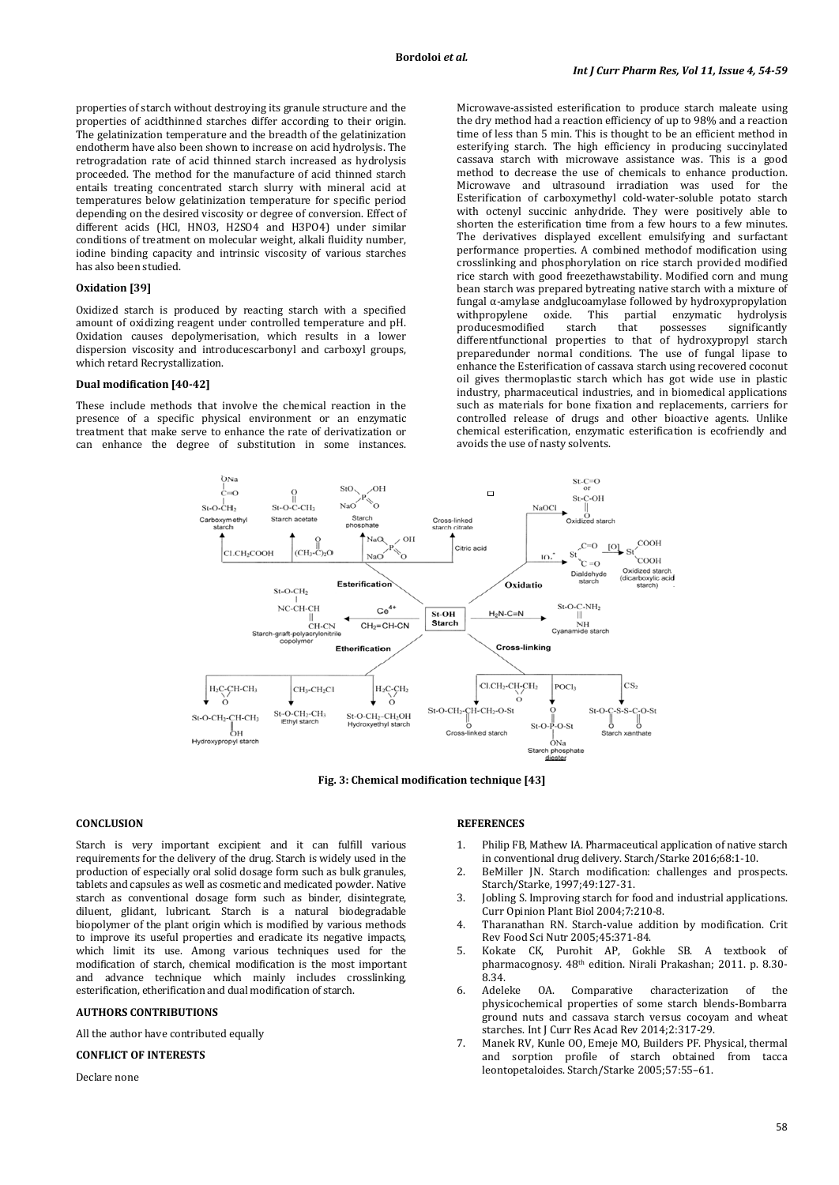properties of starch without destroying its granule structure and the properties of acidthinned starches differ according to their origin. The gelatinization temperature and the breadth of the gelatinization endotherm have also been shown to increase on acid hydrolysis. The retrogradation rate of acid thinned starch increased as hydrolysis proceeded. The method for the manufacture of acid thinned starch entails treating concentrated starch slurry with mineral acid at temperatures below gelatinization temperature for specific period depending on the desired viscosity or degree of conversion. Effect of different acids (HCl, HNO3, H2SO4 and H3PO4) under similar conditions of treatment on molecular weight, alkali fluidity number, iodine binding capacity and intrinsic viscosity of various starches has also been studied.

## **Oxidation [39]**

Oxidized starch is produced by reacting starch with a specified amount of oxidizing reagent under controlled temperature and pH. Oxidation causes depolymerisation, which results in a lower dispersion viscosity and introducescarbonyl and carboxyl groups, which retard Recrystallization.

## **Dual modification [40-42]**

These include methods that involve the chemical reaction in the presence of a specific physical environment or an enzymatic treatment that make serve to enhance the rate of derivatization or can enhance the degree of substitution in some instances.

Microwave-assisted esterification to produce starch maleate using the dry method had a reaction efficiency of up to 98% and a reaction time of less than 5 min. This is thought to be an efficient method in esterifying starch. The high efficiency in producing succinylated cassava starch with microwave assistance was. This is a good method to decrease the use of chemicals to enhance production. Microwave and ultrasound irradiation was used for the Esterification of carboxymethyl cold-water-soluble potato starch with octenyl succinic anhydride. They were positively able to shorten the esterification time from a few hours to a few minutes. The derivatives displayed excellent emulsifying and surfactant performance properties. A combined methodof modification using crosslinking and phosphorylation on rice starch provided modified rice starch with good freezethawstability. Modified corn and mung bean starch was prepared bytreating native starch with a mixture of fungal α-amylase andglucoamylase followed by hydroxypropylation withpropylene oxide. This partial enzymatic hydrolysis producesmodified starch that possesses significantly differentfunctional properties to that of hydroxypropyl starch preparedunder normal conditions. The use of fungal lipase to enhance the Esterification of cassava starch using recovered coconut oil gives thermoplastic starch which has got wide use in plastic industry, pharmaceutical industries, and in biomedical applications such as materials for bone fixation and replacements, carriers for controlled release of drugs and other bioactive agents. Unlike chemical esterification, enzymatic esterification is ecofriendly and avoids the use of nasty solvents.



**Fig. 3: Chemical modification technique [43]**

### **CONCLUSION**

Starch is very important excipient and it can fulfill various requirements for the delivery of the drug. Starch is widely used in the production of especially oral solid dosage form such as bulk granules, tablets and capsules as well as cosmetic and medicated powder. Native starch as conventional dosage form such as binder, disintegrate, diluent, glidant, lubricant. Starch is a natural biodegradable biopolymer of the plant origin which is modified by various methods to improve its useful properties and eradicate its negative impacts, which limit its use. Among various techniques used for the modification of starch, chemical modification is the most important and advance technique which mainly includes crosslinking, esterification, etherification and dual modification of starch.

## **AUTHORS CONTRIBUTIONS**

All the author have contributed equally

# **CONFLICT OF INTERESTS**

Declare none

## **REFERENCES**

- 1. Philip FB, Mathew IA. Pharmaceutical application of native starch in conventional drug delivery. Starch/Starke 2016;68:1-10.
- 2. BeMiller JN. Starch modification: challenges and prospects. Starch/Starke, 1997;49:127-31.
- 3. Jobling S. Improving starch for food and industrial applications. Curr Opinion Plant Biol 2004;7:210-8.
- 4. Tharanathan RN. Starch-value addition by modification. Crit Rev Food Sci Nutr 2005;45:371-84.
- 5. Kokate CK, Purohit AP, Gokhle SB. A textbook of pharmacognosy. 48<sup>th</sup> edition. Nirali Prakashan; 2011. p. 8.30-8.34.
- 6. Adeleke OA. Comparative characterization of the physicochemical properties of some starch blends-Bombarra ground nuts and cassava starch versus cocoyam and wheat starches. Int J Curr Res Acad Rev 2014;2:317-29.
- 7. Manek RV, Kunle OO, Emeje MO, Builders PF. Physical, thermal and sorption profile of starch obtained from tacca leontopetaloides. Starch/Starke 2005;57:55–61.